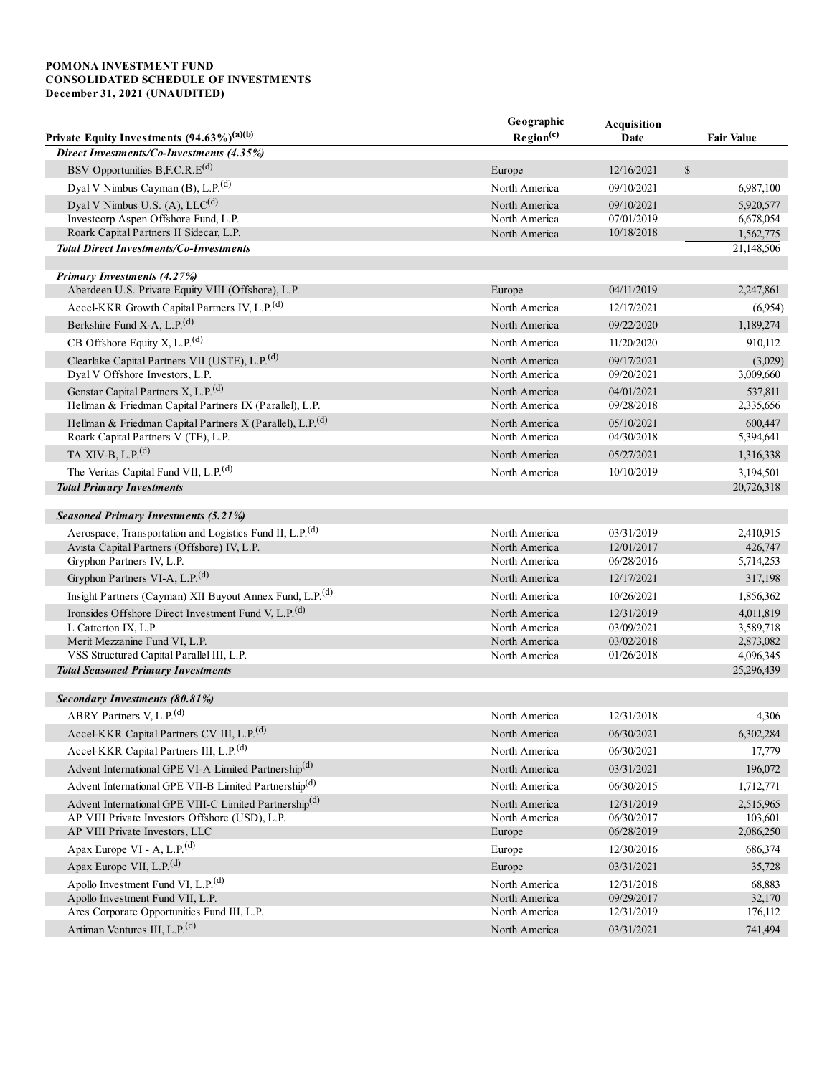# POMONA INVESTMENT FUND CONSOLIDATED SCHEDULE OF INVESTMENTS December 31, 2021 (UNAUDITED)

|                                                                                        | Geographic            | Acquisition |                         |
|----------------------------------------------------------------------------------------|-----------------------|-------------|-------------------------|
| Private Equity Investments $(94.63\%)^{(a)(b)}$                                        | Region <sup>(c)</sup> | Date        | <b>Fair Value</b>       |
| Direct Investments/Co-Investments (4.35%)                                              |                       |             |                         |
| BSV Opportunities B,F.C.R.E <sup>(d)</sup>                                             | Europe                | 12/16/2021  | $\mathbb{S}$            |
| Dyal V Nimbus Cayman (B), L.P. <sup>(d)</sup>                                          | North America         | 09/10/2021  | 6,987,100               |
| Dyal V Nimbus U.S. $(A)$ , LLC $(d)$                                                   | North America         | 09/10/2021  | 5.920.577               |
| Investcorp Aspen Offshore Fund, L.P.                                                   | North America         | 07/01/2019  | 6,678,054               |
| Roark Capital Partners II Sidecar, L.P.                                                | North America         | 10/18/2018  | 1,562,775               |
| <b>Total Direct Investments/Co-Investments</b>                                         |                       |             | 21,148,506              |
| Primary Investments (4.27%)                                                            |                       |             |                         |
| Aberdeen U.S. Private Equity VIII (Offshore), L.P.                                     | Europe                | 04/11/2019  | 2,247,861               |
| Accel-KKR Growth Capital Partners IV, L.P. <sup>(d)</sup>                              | North America         | 12/17/2021  | (6,954)                 |
| Berkshire Fund X-A, L.P. <sup>(d)</sup>                                                | North America         | 09/22/2020  | 1,189,274               |
| CB Offshore Equity X, L.P. $(d)$                                                       | North America         | 11/20/2020  | 910,112                 |
| Clearlake Capital Partners VII (USTE), L.P. <sup>(d)</sup>                             | North America         | 09/17/2021  | (3,029)                 |
| Dyal V Offshore Investors, L.P.                                                        | North America         | 09/20/2021  | 3,009,660               |
| Genstar Capital Partners X, L.P. <sup>(d)</sup>                                        | North America         | 04/01/2021  | 537,811                 |
| Hellman & Friedman Capital Partners IX (Parallel), L.P.                                | North America         | 09/28/2018  | 2,335,656               |
| Hellman & Friedman Capital Partners X (Parallel), L.P. <sup>(d)</sup>                  | North America         | 05/10/2021  | 600,447                 |
| Roark Capital Partners V (TE), L.P.                                                    | North America         | 04/30/2018  | 5,394,641               |
| TA XIV-B, L.P. $(d)$                                                                   | North America         | 05/27/2021  | 1,316,338               |
| The Veritas Capital Fund VII, L.P. <sup>(d)</sup>                                      | North America         | 10/10/2019  | 3,194,501               |
| <b>Total Primary Investments</b>                                                       |                       |             | 20,726,318              |
| <b>Seasoned Primary Investments (5.21%)</b>                                            |                       |             |                         |
| Aerospace, Transportation and Logistics Fund II, L.P. <sup>(d)</sup>                   | North America         | 03/31/2019  | 2,410,915               |
| Avista Capital Partners (Offshore) IV, L.P.                                            | North America         | 12/01/2017  | 426,747                 |
| Gryphon Partners IV, L.P.                                                              | North America         | 06/28/2016  | 5,714,253               |
| Gryphon Partners VI-A, L.P. <sup>(d)</sup>                                             | North America         | 12/17/2021  | 317,198                 |
| Insight Partners (Cayman) XII Buyout Annex Fund, L.P. <sup>(d)</sup>                   | North America         | 10/26/2021  | 1,856,362               |
| Ironsides Offshore Direct Investment Fund V, L.P. <sup>(d)</sup>                       | North America         | 12/31/2019  | 4,011,819               |
| L Catterton IX, L.P.                                                                   | North America         | 03/09/2021  | 3,589,718               |
| Merit Mezzanine Fund VI, L.P.                                                          | North America         | 03/02/2018  | 2,873,082               |
| VSS Structured Capital Parallel III, L.P.<br><b>Total Seasoned Primary Investments</b> | North America         | 01/26/2018  | 4,096,345<br>25,296,439 |
|                                                                                        |                       |             |                         |
| Secondary Investments (80.81%)                                                         |                       |             |                         |
| ABRY Partners V, L.P. <sup>(d)</sup>                                                   | North America         | 12/31/2018  | 4,306                   |
| Accel-KKR Capital Partners CV III, L.P. <sup>(d)</sup>                                 | North America         | 06/30/2021  | 6,302,284               |
| Accel-KKR Capital Partners III, L.P. <sup>(d)</sup>                                    | North America         | 06/30/2021  | 17,779                  |
| Advent International GPE VI-A Limited Partnership <sup>(d)</sup>                       | North America         | 03/31/2021  | 196,072                 |
| Advent International GPE VII-B Limited Partnership <sup>(d)</sup>                      | North America         | 06/30/2015  | 1,712,771               |
| Advent International GPE VIII-C Limited Partnership(d)                                 | North America         | 12/31/2019  | 2,515,965               |
| AP VIII Private Investors Offshore (USD), L.P.                                         | North America         | 06/30/2017  | 103,601                 |
| AP VIII Private Investors, LLC                                                         | Europe                | 06/28/2019  | 2,086,250               |
| Apax Europe VI - A, L.P. <sup>(d)</sup>                                                | Europe                | 12/30/2016  | 686,374                 |
| Apax Europe VII, L.P. <sup>(d)</sup>                                                   | Europe                | 03/31/2021  | 35,728                  |
| Apollo Investment Fund VI, L.P. <sup>(d)</sup>                                         | North America         | 12/31/2018  | 68,883                  |
| Apollo Investment Fund VII, L.P.                                                       | North America         | 09/29/2017  | 32,170                  |
| Ares Corporate Opportunities Fund III, L.P.                                            | North America         | 12/31/2019  | 176,112                 |
| Artiman Ventures III, L.P. <sup>(d)</sup>                                              | North America         | 03/31/2021  | 741,494                 |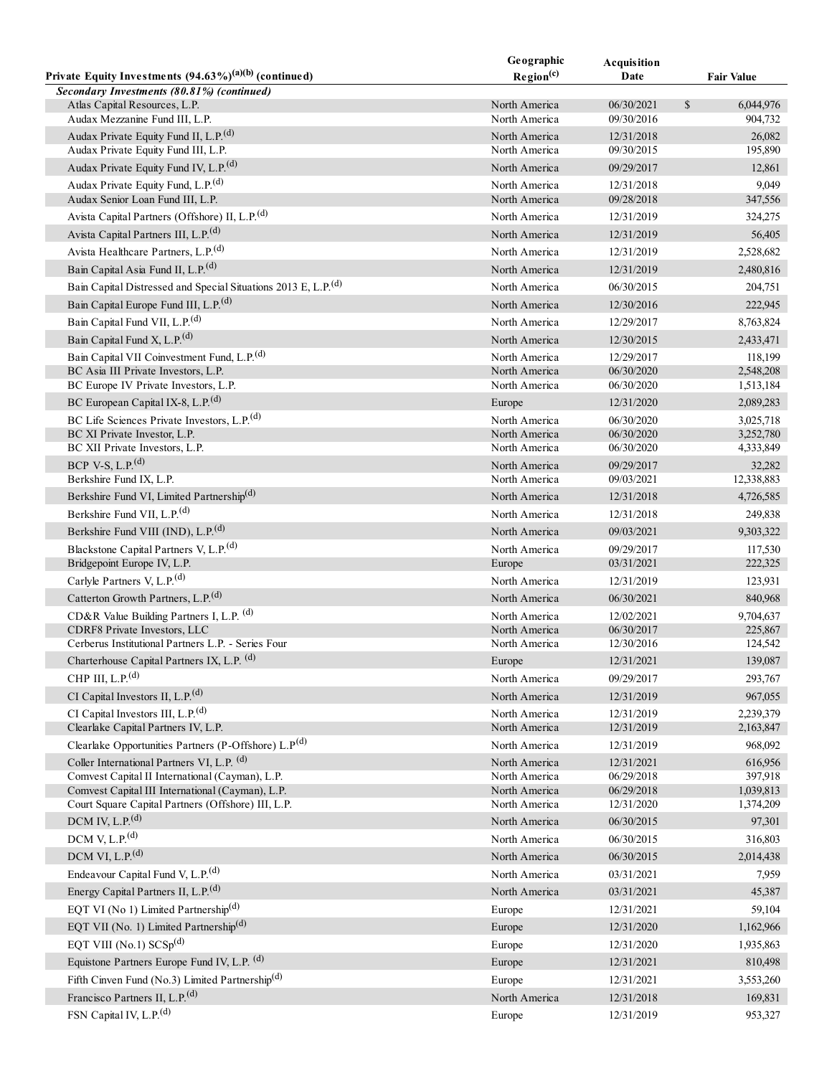|                                                                                      | Geographic                     | Acquisition              |                                      |
|--------------------------------------------------------------------------------------|--------------------------------|--------------------------|--------------------------------------|
| Private Equity Investments $(94.63\%)^{(a)(b)}$ (continued)                          | Region <sup>(c)</sup>          | Date                     | <b>Fair Value</b>                    |
| Secondary Investments (80.81%) (continued)                                           |                                |                          |                                      |
| Atlas Capital Resources, L.P.<br>Audax Mezzanine Fund III, L.P.                      | North America<br>North America | 06/30/2021<br>09/30/2016 | $\mathbb{S}$<br>6,044,976<br>904,732 |
| Audax Private Equity Fund II, L.P. <sup>(d)</sup>                                    | North America                  | 12/31/2018               | 26,082                               |
| Audax Private Equity Fund III, L.P.                                                  | North America                  | 09/30/2015               | 195,890                              |
| Audax Private Equity Fund IV, L.P. <sup>(d)</sup>                                    | North America                  | 09/29/2017               | 12,861                               |
| Audax Private Equity Fund, L.P. <sup>(d)</sup>                                       | North America                  | 12/31/2018               | 9,049                                |
| Audax Senior Loan Fund III, L.P.                                                     | North America                  | 09/28/2018               | 347,556                              |
| Avista Capital Partners (Offshore) II, L.P. <sup>(d)</sup>                           | North America                  | 12/31/2019               | 324,275                              |
| Avista Capital Partners III, L.P. <sup>(d)</sup>                                     | North America                  | 12/31/2019               | 56,405                               |
| Avista Healthcare Partners, L.P. <sup>(d)</sup>                                      | North America                  | 12/31/2019               |                                      |
|                                                                                      |                                |                          | 2,528,682                            |
| Bain Capital Asia Fund II, L.P. <sup>(d)</sup>                                       | North America                  | 12/31/2019               | 2,480,816                            |
| Bain Capital Distressed and Special Situations 2013 E, L.P. <sup>(d)</sup>           | North America                  | 06/30/2015               | 204,751                              |
| Bain Capital Europe Fund III, L.P. <sup>(d)</sup>                                    | North America                  | 12/30/2016               | 222,945                              |
| Bain Capital Fund VII, L.P. <sup>(d)</sup>                                           | North America                  | 12/29/2017               | 8,763,824                            |
| Bain Capital Fund X, L.P. <sup>(d)</sup>                                             | North America                  | 12/30/2015               | 2,433,471                            |
| Bain Capital VII Coinvestment Fund, L.P. <sup>(d)</sup>                              | North America                  | 12/29/2017               | 118,199                              |
| BC Asia III Private Investors, L.P.                                                  | North America                  | 06/30/2020               | 2,548,208                            |
| BC Europe IV Private Investors, L.P.                                                 | North America                  | 06/30/2020               | 1,513,184                            |
| BC European Capital IX-8, L.P. <sup>(d)</sup>                                        | Europe                         | 12/31/2020               | 2,089,283                            |
| BC Life Sciences Private Investors, L.P. <sup>(d)</sup>                              | North America                  | 06/30/2020               | 3,025,718                            |
| BC XI Private Investor, L.P.<br>BC XII Private Investors, L.P.                       | North America<br>North America | 06/30/2020<br>06/30/2020 | 3,252,780<br>4,333,849               |
| BCP V-S, L.P. $(d)$                                                                  |                                |                          |                                      |
| Berkshire Fund IX, L.P.                                                              | North America<br>North America | 09/29/2017<br>09/03/2021 | 32,282<br>12,338,883                 |
| Berkshire Fund VI, Limited Partnership <sup>(d)</sup>                                | North America                  | 12/31/2018               | 4,726,585                            |
| Berkshire Fund VII, L.P. <sup>(d)</sup>                                              | North America                  |                          |                                      |
|                                                                                      |                                | 12/31/2018               | 249,838                              |
| Berkshire Fund VIII (IND), L.P. <sup>(d)</sup>                                       | North America                  | 09/03/2021               | 9,303,322                            |
| Blackstone Capital Partners V, L.P. <sup>(d)</sup>                                   | North America                  | 09/29/2017               | 117,530                              |
| Bridgepoint Europe IV, L.P.                                                          | Europe                         | 03/31/2021               | 222,325                              |
| Carlyle Partners V, L.P. <sup>(d)</sup>                                              | North America                  | 12/31/2019               | 123,931                              |
| Catterton Growth Partners, L.P. <sup>(d)</sup>                                       | North America                  | 06/30/2021               | 840,968                              |
| CD&R Value Building Partners I, L.P. (d)<br><b>CDRF8</b> Private Investors, LLC      | North America<br>North America | 12/02/2021               | 9,704,637                            |
| Cerberus Institutional Partners L.P. - Series Four                                   | North America                  | 06/30/2017<br>12/30/2016 | 225,867<br>124,542                   |
| Charterhouse Capital Partners IX, L.P. (d)                                           | Europe                         | 12/31/2021               | 139,087                              |
| CHP III, $L.P.(d)$                                                                   | North America                  | 09/29/2017               | 293,767                              |
| CI Capital Investors II, L.P. <sup>(d)</sup>                                         | North America                  |                          |                                      |
|                                                                                      |                                | 12/31/2019               | 967,055                              |
| CI Capital Investors III, L.P. <sup>(d)</sup><br>Clearlake Capital Partners IV, L.P. | North America<br>North America | 12/31/2019<br>12/31/2019 | 2,239,379<br>2,163,847               |
| Clearlake Opportunities Partners (P-Offshore) L.P(d)                                 | North America                  | 12/31/2019               | 968,092                              |
| Coller International Partners VI, L.P. (d)                                           |                                |                          |                                      |
| Comvest Capital II International (Cayman), L.P.                                      | North America<br>North America | 12/31/2021<br>06/29/2018 | 616,956<br>397,918                   |
| Comvest Capital III International (Cayman), L.P.                                     | North America                  | 06/29/2018               | 1,039,813                            |
| Court Square Capital Partners (Offshore) III, L.P.                                   | North America                  | 12/31/2020               | 1,374,209                            |
| DCM IV, L.P. $(d)$                                                                   | North America                  | 06/30/2015               | 97,301                               |
| DCM V, L.P. $(d)$                                                                    | North America                  | 06/30/2015               | 316,803                              |
| DCM VI, L.P. $(d)$                                                                   | North America                  | 06/30/2015               | 2,014,438                            |
| Endeavour Capital Fund V, L.P. <sup>(d)</sup>                                        | North America                  | 03/31/2021               | 7,959                                |
| Energy Capital Partners II, L.P. <sup>(d)</sup>                                      | North America                  | 03/31/2021               | 45,387                               |
| EQT VI (No 1) Limited Partnership <sup>(d)</sup>                                     |                                |                          |                                      |
| EQT VII (No. 1) Limited Partnership <sup>(d)</sup>                                   | Europe                         | 12/31/2021               | 59,104                               |
|                                                                                      | Europe                         | 12/31/2020               | 1,162,966                            |
| EQT VIII (No.1) $SCSp(d)$                                                            | Europe                         | 12/31/2020               | 1,935,863                            |
| Equistone Partners Europe Fund IV, L.P. (d)                                          | Europe                         | 12/31/2021               | 810,498                              |
| Fifth Cinven Fund (No.3) Limited Partnership <sup>(d)</sup>                          | Europe                         | 12/31/2021               | 3,553,260                            |
| Francisco Partners II, L.P. <sup>(d)</sup>                                           | North America                  | 12/31/2018               | 169,831                              |
| FSN Capital IV, L.P. <sup>(d)</sup>                                                  | Europe                         | 12/31/2019               | 953,327                              |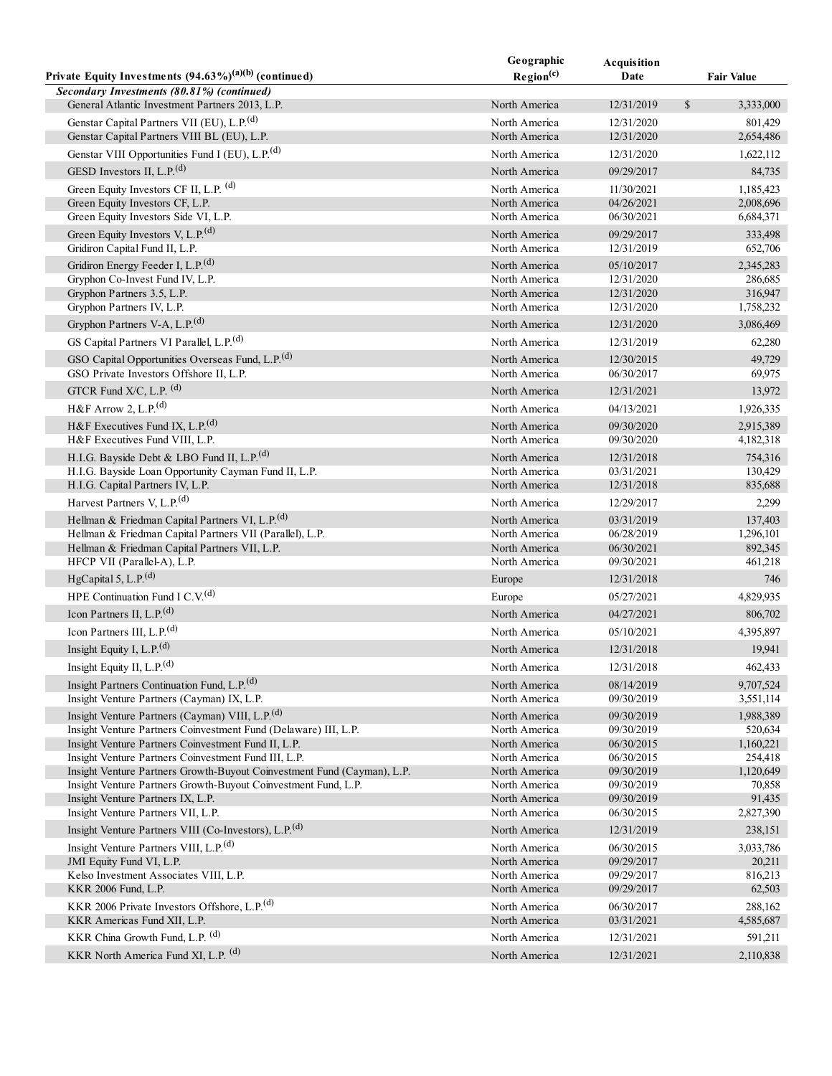|                                                                                                                                 | Geographic                     | Acquisition              |               |                      |
|---------------------------------------------------------------------------------------------------------------------------------|--------------------------------|--------------------------|---------------|----------------------|
| Private Equity Investments $(94.63\%)^{(a)(b)}$ (continued)                                                                     | Region <sup>(c)</sup>          | Date                     |               | <b>Fair Value</b>    |
| Secondary Investments (80.81%) (continued)                                                                                      |                                |                          |               |                      |
| General Atlantic Investment Partners 2013, L.P.                                                                                 | North America                  | 12/31/2019               | $\mathcal{S}$ | 3,333,000            |
| Genstar Capital Partners VII (EU), L.P. <sup>(d)</sup>                                                                          | North America                  | 12/31/2020               |               | 801,429              |
| Genstar Capital Partners VIII BL (EU), L.P.                                                                                     | North America                  | 12/31/2020               |               | 2,654,486            |
| Genstar VIII Opportunities Fund I (EU), L.P. <sup>(d)</sup>                                                                     | North America                  | 12/31/2020               |               | 1,622,112            |
| GESD Investors II, L.P. <sup>(d)</sup>                                                                                          | North America                  | 09/29/2017               |               | 84,735               |
| Green Equity Investors CF II, L.P. (d)                                                                                          | North America                  | 11/30/2021               |               | 1,185,423            |
| Green Equity Investors CF, L.P.                                                                                                 | North America                  | 04/26/2021               |               | 2,008,696            |
| Green Equity Investors Side VI, L.P.                                                                                            | North America                  | 06/30/2021               |               | 6,684,371            |
| Green Equity Investors V, L.P. <sup>(d)</sup>                                                                                   | North America                  | 09/29/2017               |               | 333,498              |
| Gridiron Capital Fund II, L.P.                                                                                                  | North America                  | 12/31/2019               |               | 652,706              |
| Gridiron Energy Feeder I, L.P. <sup>(d)</sup><br>Gryphon Co-Invest Fund IV, L.P.                                                | North America<br>North America | 05/10/2017<br>12/31/2020 |               | 2,345,283<br>286,685 |
| Gryphon Partners 3.5, L.P.                                                                                                      | North America                  | 12/31/2020               |               | 316,947              |
| Gryphon Partners IV, L.P.                                                                                                       | North America                  | 12/31/2020               |               | 1,758,232            |
| Gryphon Partners V-A, L.P. <sup>(d)</sup>                                                                                       | North America                  | 12/31/2020               |               | 3,086,469            |
| GS Capital Partners VI Parallel, L.P. <sup>(d)</sup>                                                                            | North America                  | 12/31/2019               |               | 62,280               |
| GSO Capital Opportunities Overseas Fund, L.P. <sup>(d)</sup>                                                                    | North America                  | 12/30/2015               |               | 49,729               |
| GSO Private Investors Offshore II, L.P.                                                                                         | North America                  | 06/30/2017               |               | 69,975               |
| GTCR Fund X/C, L.P. (d)                                                                                                         | North America                  | 12/31/2021               |               | 13,972               |
| H&F Arrow 2, L.P. $^{(d)}$                                                                                                      | North America                  | 04/13/2021               |               | 1,926,335            |
| H&F Executives Fund IX, L.P. $^{(d)}$                                                                                           | North America                  | 09/30/2020               |               | 2,915,389            |
| H&F Executives Fund VIII, L.P.                                                                                                  | North America                  | 09/30/2020               |               | 4,182,318            |
| H.I.G. Bayside Debt & LBO Fund II, L.P. <sup>(d)</sup>                                                                          | North America                  | 12/31/2018               |               | 754,316              |
| H.I.G. Bayside Loan Opportunity Cayman Fund II, L.P.                                                                            | North America                  | 03/31/2021               |               | 130,429              |
| H.I.G. Capital Partners IV, L.P.                                                                                                | North America                  | 12/31/2018               |               | 835,688              |
| Harvest Partners V, L.P. <sup>(d)</sup>                                                                                         | North America                  | 12/29/2017               |               | 2,299                |
| Hellman & Friedman Capital Partners VI, L.P. <sup>(d)</sup>                                                                     | North America                  | 03/31/2019               |               | 137,403              |
| Hellman & Friedman Capital Partners VII (Parallel), L.P.                                                                        | North America                  | 06/28/2019               |               | 1,296,101            |
| Hellman & Friedman Capital Partners VII, L.P.                                                                                   | North America                  | 06/30/2021               |               | 892,345              |
| HFCP VII (Parallel-A), L.P.                                                                                                     | North America                  | 09/30/2021               |               | 461,218              |
| HgCapital 5, L.P. $(d)$                                                                                                         | Europe                         | 12/31/2018               |               | 746                  |
| HPE Continuation Fund I C.V. <sup>(d)</sup>                                                                                     | Europe                         | 05/27/2021               |               | 4,829,935            |
| Icon Partners II, L.P. $(d)$                                                                                                    | North America                  | 04/27/2021               |               | 806,702              |
| Icon Partners III, L.P. $(d)$                                                                                                   | North America                  | 05/10/2021               |               | 4,395,897            |
| Insight Equity I, L.P. $(d)$                                                                                                    | North America                  | 12/31/2018               |               | 19,941               |
| Insight Equity II, L.P. <sup>(d)</sup>                                                                                          | North America                  | 12/31/2018               |               | 462,433              |
| Insight Partners Continuation Fund, L.P. <sup>(d)</sup>                                                                         | North America                  | 08/14/2019               |               | 9,707,524            |
| Insight Venture Partners (Cayman) IX, L.P.                                                                                      | North America                  | 09/30/2019               |               | 3,551,114            |
| Insight Venture Partners (Cayman) VIII, L.P. <sup>(d)</sup>                                                                     | North America                  | 09/30/2019               |               | 1,988,389            |
| Insight Venture Partners Coinvestment Fund (Delaware) III, L.P.                                                                 | North America                  | 09/30/2019               |               | 520,634              |
| Insight Venture Partners Coinvestment Fund II, L.P.                                                                             | North America                  | 06/30/2015               |               | 1,160,221            |
| Insight Venture Partners Coinvestment Fund III, L.P.<br>Insight Venture Partners Growth-Buyout Coinvestment Fund (Cayman), L.P. | North America<br>North America | 06/30/2015<br>09/30/2019 |               | 254,418<br>1,120,649 |
| Insight Venture Partners Growth-Buyout Coinvestment Fund, L.P.                                                                  | North America                  | 09/30/2019               |               | 70,858               |
| Insight Venture Partners IX, L.P.                                                                                               | North America                  | 09/30/2019               |               | 91,435               |
| Insight Venture Partners VII, L.P.                                                                                              | North America                  | 06/30/2015               |               | 2,827,390            |
| Insight Venture Partners VIII (Co-Investors), L.P. <sup>(d)</sup>                                                               | North America                  | 12/31/2019               |               | 238,151              |
| Insight Venture Partners VIII, L.P. <sup>(d)</sup>                                                                              | North America                  | 06/30/2015               |               | 3,033,786            |
| JMI Equity Fund VI, L.P.                                                                                                        | North America                  | 09/29/2017               |               | 20,211               |
| Kelso Investment Associates VIII, L.P.                                                                                          | North America                  | 09/29/2017               |               | 816,213              |
| KKR 2006 Fund, L.P.                                                                                                             | North America                  | 09/29/2017               |               | 62,503               |
| KKR 2006 Private Investors Offshore, L.P. <sup>(d)</sup><br>KKR Americas Fund XII, L.P.                                         | North America                  | 06/30/2017               |               | 288,162              |
|                                                                                                                                 | North America                  | 03/31/2021               |               | 4,585,687            |
| KKR China Growth Fund, L.P. (d)                                                                                                 | North America                  | 12/31/2021               |               | 591,211              |
| KKR North America Fund XI, L.P. (d)                                                                                             | North America                  | 12/31/2021               |               | 2,110,838            |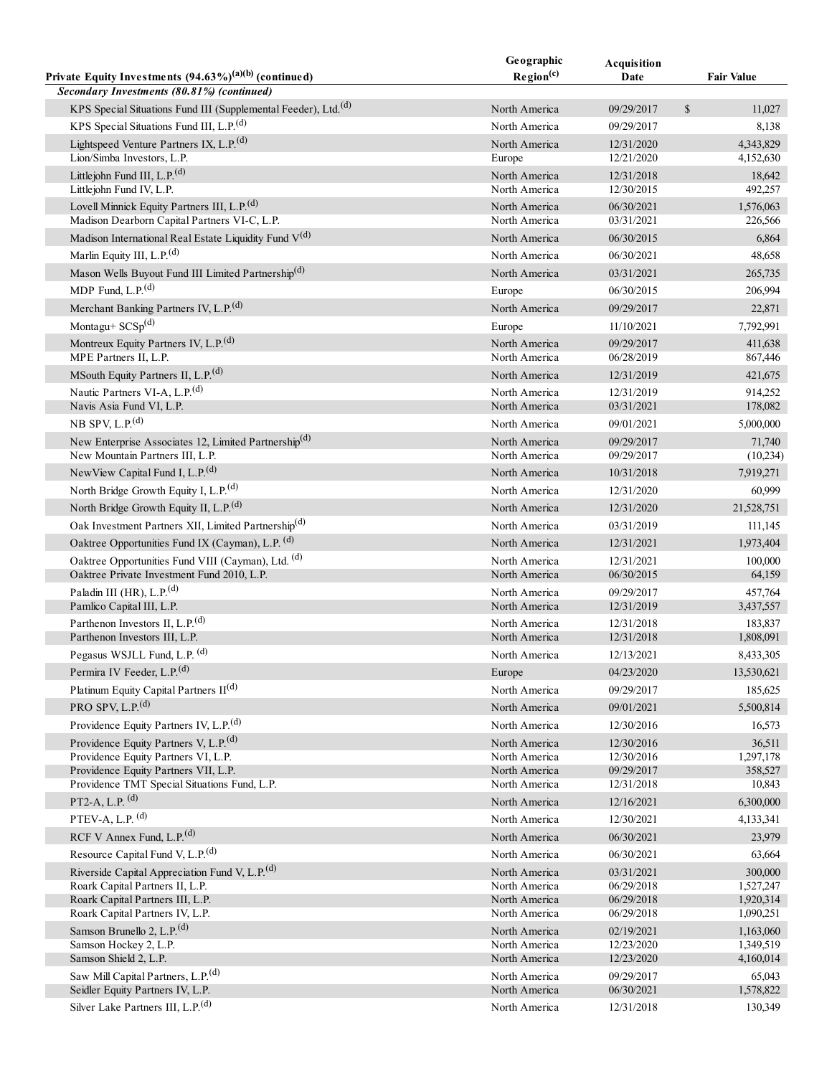|                                                                                                         | Geographic                     | Acquisition              |                        |
|---------------------------------------------------------------------------------------------------------|--------------------------------|--------------------------|------------------------|
| Private Equity Investments $(94.63\%)^{(a)(b)}$ (continued)                                             | Region <sup>(c)</sup>          | Date                     | <b>Fair Value</b>      |
| Secondary Investments (80.81%) (continued)                                                              |                                |                          |                        |
| KPS Special Situations Fund III (Supplemental Feeder), Ltd. <sup>(d)</sup>                              | North America                  | 09/29/2017               | $\mathbb{S}$<br>11,027 |
| KPS Special Situations Fund III, L.P. <sup>(d)</sup>                                                    | North America                  | 09/29/2017               | 8,138                  |
| Lightspeed Venture Partners IX, L.P. <sup>(d)</sup>                                                     | North America                  | 12/31/2020               | 4,343,829              |
| Lion/Simba Investors, L.P.                                                                              | Europe                         | 12/21/2020               | 4,152,630              |
| Littlejohn Fund III, L.P. <sup>(d)</sup>                                                                | North America                  | 12/31/2018               | 18,642                 |
| Littlejohn Fund IV, L.P.                                                                                | North America                  | 12/30/2015               | 492,257                |
| Lovell Minnick Equity Partners III, L.P. <sup>(d)</sup><br>Madison Dearborn Capital Partners VI-C, L.P. | North America<br>North America | 06/30/2021<br>03/31/2021 | 1,576,063<br>226,566   |
| Madison International Real Estate Liquidity Fund V(d)                                                   |                                |                          |                        |
| Marlin Equity III, L.P. <sup>(d)</sup>                                                                  | North America                  | 06/30/2015               | 6,864                  |
|                                                                                                         | North America                  | 06/30/2021               | 48,658                 |
| Mason Wells Buyout Fund III Limited Partnership <sup>(d)</sup>                                          | North America                  | 03/31/2021               | 265,735                |
| MDP Fund, L.P. $(d)$                                                                                    | Europe                         | 06/30/2015               | 206,994                |
| Merchant Banking Partners IV, L.P. <sup>(d)</sup>                                                       | North America                  | 09/29/2017               | 22,871                 |
| Montagu+ $SCSp(d)$                                                                                      | Europe                         | 11/10/2021               | 7,792,991              |
| Montreux Equity Partners IV, L.P. <sup>(d)</sup>                                                        | North America                  | 09/29/2017               | 411,638                |
| MPE Partners II, L.P.                                                                                   | North America                  | 06/28/2019               | 867,446                |
| MSouth Equity Partners II, L.P. <sup>(d)</sup>                                                          | North America                  | 12/31/2019               | 421,675                |
| Nautic Partners VI-A, L.P. <sup>(d)</sup><br>Navis Asia Fund VI, L.P.                                   | North America<br>North America | 12/31/2019               | 914,252<br>178,082     |
| NB SPV, L.P. $(d)$                                                                                      |                                | 03/31/2021               |                        |
|                                                                                                         | North America                  | 09/01/2021               | 5,000,000              |
| New Enterprise Associates 12, Limited Partnership <sup>(d)</sup><br>New Mountain Partners III, L.P.     | North America<br>North America | 09/29/2017<br>09/29/2017 | 71,740<br>(10,234)     |
| NewView Capital Fund I, L.P. <sup>(d)</sup>                                                             | North America                  | 10/31/2018               | 7,919,271              |
| North Bridge Growth Equity I, L.P. <sup>(d)</sup>                                                       | North America                  | 12/31/2020               | 60,999                 |
| North Bridge Growth Equity II, L.P. <sup>(d)</sup>                                                      | North America                  |                          |                        |
| Oak Investment Partners XII, Limited Partnership <sup>(d)</sup>                                         |                                | 12/31/2020               | 21,528,751             |
|                                                                                                         | North America                  | 03/31/2019               | 111,145                |
| Oaktree Opportunities Fund IX (Cayman), L.P. (d)                                                        | North America                  | 12/31/2021               | 1,973,404              |
| Oaktree Opportunities Fund VIII (Cayman), Ltd. (d)<br>Oaktree Private Investment Fund 2010, L.P.        | North America                  | 12/31/2021<br>06/30/2015 | 100,000                |
| Paladin III (HR), L.P. $(d)$                                                                            | North America                  | 09/29/2017               | 64,159                 |
| Pamlico Capital III, L.P.                                                                               | North America<br>North America | 12/31/2019               | 457,764<br>3,437,557   |
| Parthenon Investors II, L.P. <sup>(d)</sup>                                                             | North America                  | 12/31/2018               | 183,837                |
| Parthenon Investors III, L.P.                                                                           | North America                  | 12/31/2018               | 1,808,091              |
| Pegasus WSJLL Fund, L.P. (d)                                                                            | North America                  | 12/13/2021               | 8,433,305              |
| Permira IV Feeder, L.P. <sup>(d)</sup>                                                                  | Europe                         | 04/23/2020               | 13,530,621             |
| Platinum Equity Capital Partners II(d)                                                                  | North America                  | 09/29/2017               | 185,625                |
| PRO SPV, L.P. $(d)$                                                                                     | North America                  | 09/01/2021               | 5,500,814              |
| Providence Equity Partners IV, L.P. <sup>(d)</sup>                                                      | North America                  | 12/30/2016               | 16,573                 |
| Providence Equity Partners V, L.P. <sup>(d)</sup>                                                       | North America                  | 12/30/2016               | 36,511                 |
| Providence Equity Partners VI, L.P.                                                                     | North America                  | 12/30/2016               | 1,297,178              |
| Providence Equity Partners VII, L.P.                                                                    | North America                  | 09/29/2017               | 358,527                |
| Providence TMT Special Situations Fund, L.P.                                                            | North America                  | 12/31/2018               | 10,843                 |
| $PT2-A, L.P.$ <sup>(d)</sup>                                                                            | North America                  | 12/16/2021               | 6,300,000              |
| PTEV-A, L.P. <sup>(d)</sup>                                                                             | North America                  | 12/30/2021               | 4,133,341              |
| RCF V Annex Fund, L.P. <sup>(d)</sup>                                                                   | North America                  | 06/30/2021               | 23,979                 |
| Resource Capital Fund V, L.P. <sup>(d)</sup>                                                            | North America                  | 06/30/2021               | 63,664                 |
| Riverside Capital Appreciation Fund V, L.P. <sup>(d)</sup>                                              | North America                  | 03/31/2021               | 300,000                |
| Roark Capital Partners II, L.P.                                                                         | North America                  | 06/29/2018               | 1,527,247              |
| Roark Capital Partners III, L.P.                                                                        | North America                  | 06/29/2018               | 1,920,314              |
| Roark Capital Partners IV, L.P.                                                                         | North America                  | 06/29/2018               | 1,090,251              |
| Samson Brunello 2, L.P. $^{(d)}$                                                                        | North America                  | 02/19/2021               | 1,163,060              |
| Samson Hockey 2, L.P.<br>Samson Shield 2, L.P.                                                          | North America<br>North America | 12/23/2020<br>12/23/2020 | 1,349,519<br>4,160,014 |
| Saw Mill Capital Partners, L.P. <sup>(d)</sup>                                                          | North America                  | 09/29/2017               | 65,043                 |
| Seidler Equity Partners IV, L.P.                                                                        | North America                  | 06/30/2021               | 1,578,822              |
| Silver Lake Partners III, L.P. <sup>(d)</sup>                                                           | North America                  | 12/31/2018               | 130,349                |
|                                                                                                         |                                |                          |                        |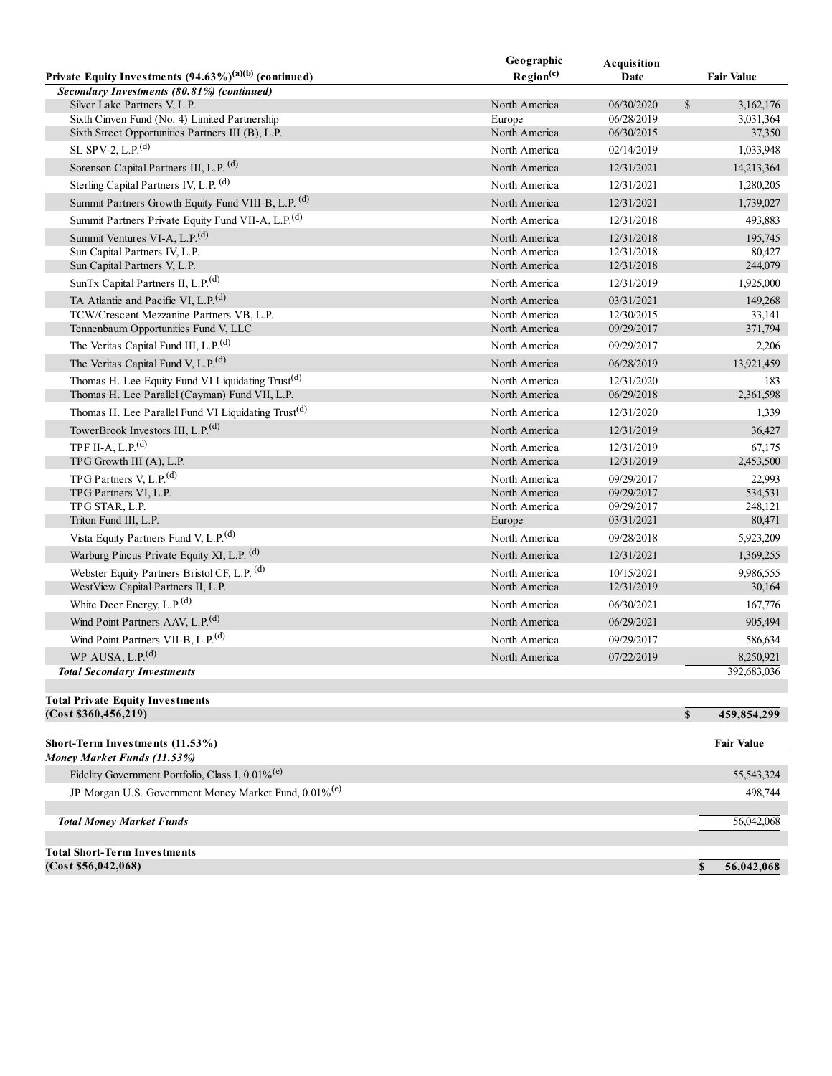|                                                                                             | Geographic                     | Acquisition              |                           |
|---------------------------------------------------------------------------------------------|--------------------------------|--------------------------|---------------------------|
| Private Equity Investments $(94.63\%)^{(a)(b)}$ (continued)                                 | Region <sup>(c)</sup>          | Date                     | <b>Fair Value</b>         |
| Secondary Investments (80.81%) (continued)                                                  |                                |                          |                           |
| Silver Lake Partners V, L.P.                                                                | North America                  | 06/30/2020               | \$<br>3,162,176           |
| Sixth Cinven Fund (No. 4) Limited Partnership                                               | Europe                         | 06/28/2019               | 3,031,364                 |
| Sixth Street Opportunities Partners III (B), L.P.                                           | North America                  | 06/30/2015               | 37,350                    |
| SL SPV-2, L.P. $^{(d)}$                                                                     | North America                  | 02/14/2019               | 1,033,948                 |
| Sorenson Capital Partners III, L.P. (d)                                                     | North America                  | 12/31/2021               | 14,213,364                |
| Sterling Capital Partners IV, L.P. (d)                                                      | North America                  | 12/31/2021               | 1,280,205                 |
| Summit Partners Growth Equity Fund VIII-B, L.P. (d)                                         | North America                  | 12/31/2021               | 1,739,027                 |
| Summit Partners Private Equity Fund VII-A, L.P. <sup>(d)</sup>                              | North America                  | 12/31/2018               | 493,883                   |
| Summit Ventures VI-A, L.P. <sup>(d)</sup>                                                   | North America                  | 12/31/2018               | 195,745                   |
| Sun Capital Partners IV, L.P.                                                               | North America                  | 12/31/2018               | 80,427                    |
| Sun Capital Partners V, L.P.                                                                | North America                  | 12/31/2018               | 244,079                   |
| SunTx Capital Partners II, L.P. <sup>(d)</sup>                                              | North America                  | 12/31/2019               | 1,925,000                 |
|                                                                                             |                                |                          |                           |
| TA Atlantic and Pacific VI, L.P. <sup>(d)</sup><br>TCW/Crescent Mezzanine Partners VB, L.P. | North America<br>North America | 03/31/2021               | 149,268                   |
| Tennenbaum Opportunities Fund V, LLC                                                        | North America                  | 12/30/2015<br>09/29/2017 | 33,141<br>371,794         |
| The Veritas Capital Fund III, L.P. <sup>(d)</sup>                                           | North America                  | 09/29/2017               |                           |
| The Veritas Capital Fund V, L.P. <sup>(d)</sup>                                             | North America                  | 06/28/2019               | 2,206                     |
|                                                                                             |                                |                          | 13,921,459                |
| Thomas H. Lee Equity Fund VI Liquidating Trust <sup>(d)</sup>                               | North America                  | 12/31/2020               | 183                       |
| Thomas H. Lee Parallel (Cayman) Fund VII, L.P.                                              | North America                  | 06/29/2018               | 2,361,598                 |
| Thomas H. Lee Parallel Fund VI Liquidating Trust <sup>(d)</sup>                             | North America                  | 12/31/2020               | 1,339                     |
| TowerBrook Investors III, L.P. <sup>(d)</sup>                                               | North America                  | 12/31/2019               | 36,427                    |
| TPF II-A, L.P. $(d)$                                                                        | North America                  | 12/31/2019               | 67,175                    |
| TPG Growth III (A), L.P.                                                                    | North America                  | 12/31/2019               | 2,453,500                 |
| TPG Partners V, L.P. $(d)$                                                                  | North America                  | 09/29/2017               | 22,993                    |
| TPG Partners VI, L.P.                                                                       | North America                  | 09/29/2017               | 534,531                   |
| TPG STAR, L.P.                                                                              | North America                  | 09/29/2017               | 248,121                   |
| Triton Fund III, L.P.                                                                       | Europe                         | 03/31/2021               | 80,471                    |
| Vista Equity Partners Fund V, L.P. <sup>(d)</sup>                                           | North America                  | 09/28/2018               | 5,923,209                 |
| Warburg Pincus Private Equity XI, L.P. <sup>(d)</sup>                                       | North America                  | 12/31/2021               | 1,369,255                 |
| Webster Equity Partners Bristol CF, L.P. (d)                                                | North America                  | 10/15/2021               | 9,986,555                 |
| WestView Capital Partners II, L.P.                                                          | North America                  | 12/31/2019               | 30,164                    |
| White Deer Energy, L.P. <sup>(d)</sup>                                                      | North America                  | 06/30/2021               | 167,776                   |
| Wind Point Partners AAV, L.P. <sup>(d)</sup>                                                | North America                  | 06/29/2021               | 905,494                   |
| Wind Point Partners VII-B, L.P. <sup>(d)</sup>                                              | North America                  | 09/29/2017               | 586,634                   |
| WP AUSA, $L.P.(d)$                                                                          | North America                  | 07/22/2019               | 8,250,921                 |
| <b>Total Secondary Investments</b>                                                          |                                |                          | 392,683,036               |
|                                                                                             |                                |                          |                           |
| <b>Total Private Equity Investments</b>                                                     |                                |                          |                           |
| (Cost \$360, 456, 219)                                                                      |                                |                          | \$<br>459,854,299         |
| Short-Term Investments (11.53%)                                                             |                                |                          | <b>Fair Value</b>         |
| Money Market Funds (11.53%)                                                                 |                                |                          |                           |
| Fidelity Government Portfolio, Class I, 0.01% <sup>(e)</sup>                                |                                |                          | 55, 543, 324              |
| JP Morgan U.S. Government Money Market Fund, 0.01% <sup>(e)</sup>                           |                                |                          | 498,744                   |
|                                                                                             |                                |                          |                           |
| <b>Total Money Market Funds</b>                                                             |                                |                          | 56,042,068                |
|                                                                                             |                                |                          |                           |
| <b>Total Short-Term Investments</b>                                                         |                                |                          |                           |
| (Cost \$56,042,068)                                                                         |                                |                          | $\mathbf S$<br>56,042,068 |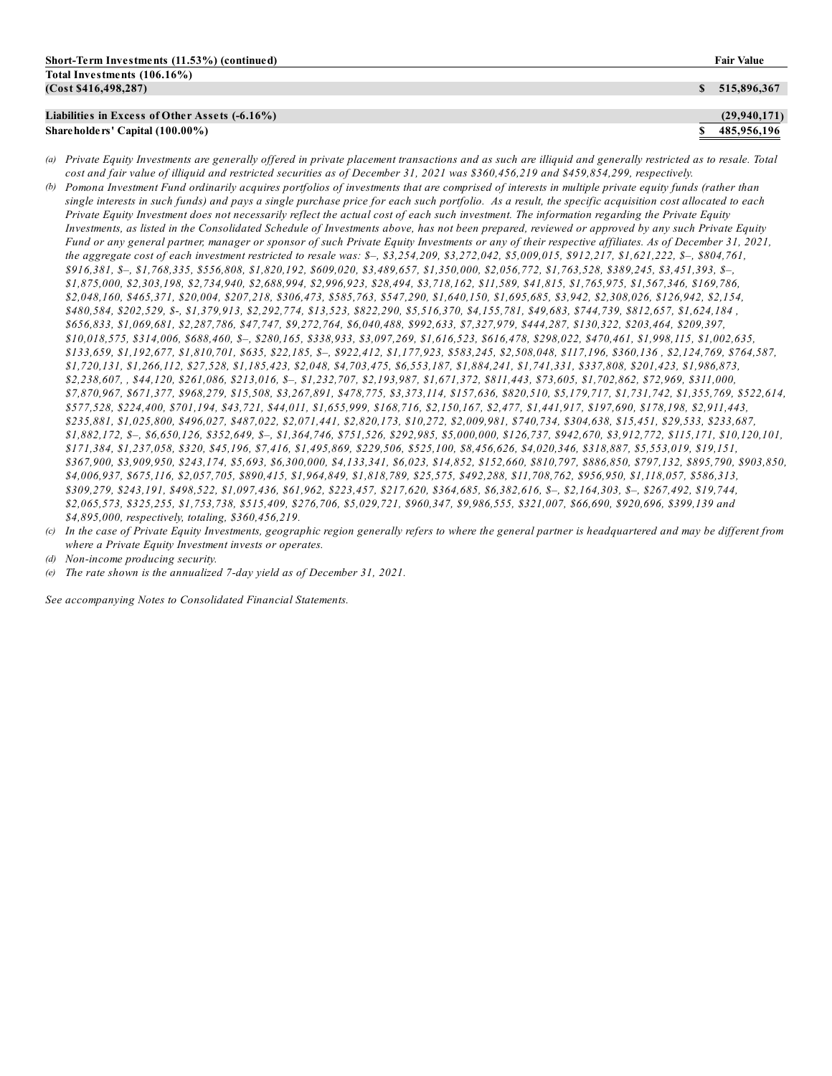| Liabilities in Excess of Other Assets (-6.16%) | (29,940,171)  |
|------------------------------------------------|---------------|
| Share holders' Capital (100.00%)               | \$485.956.196 |
|                                                |               |

- (a) Private Equity Investments are generally offered in private placement transactions and as such are illiquid and generally restricted as to resale. Total cost and fair value of illiquid and restricted securities as of December 31, 2021 was \$360,456,219 and \$459,854,299, respectively.
- (b) Pomona Investment Fund ordinarily acquires portfolios of investments that are comprised of interests in multiple private equity funds (rather than single interests in such funds) and pays a single purchase price for each such portfolio. As a result, the specific acquisition cost allocated to each Private Equity Investment does not necessarily reflect the actual cost of each such investment. The information regarding the Private Equity Investments, as listed in the Consolidated Schedule of Investments above, has not been prepared, reviewed or approved by any such Private Equity Fund or any general partner, manager or sponsor of such Private Equity Investments or any of their respective affiliates. As of December 31, 2021, the aggregate cost of each investment restricted to resale was: \$-, \$3,254,209, \$3,272,042, \$5,009,015, \$912,217, \$1,621,222, \$-, \$804,761, *\$916,381, \$–, \$1,768,335, \$556,808, \$1,820,192, \$609,020, \$3,489,657, \$1,350,000, \$2,056,772, \$1,763,528, \$389,245, \$3,451,393, \$–, \$1,875,000, \$2,303,198, \$2,734,940, \$2,688,994, \$2,996,923, \$28,494, \$3,718,162, \$11,589, \$41,815, \$1,765,975, \$1,567,346, \$169,786, \$2,048,160, \$465,371, \$20,004, \$207,218, \$306,473, \$585,763, \$547,290, \$1,640,150, \$1,695,685, \$3,942, \$2,308,026, \$126,942, \$2,154,* \$480,584, \$202,529, \$-, \$1,379,913, \$2,292,774, \$13,523, \$822,290, \$5,516,370, \$4,155,781, \$49,683, \$744,739, \$812,657, \$1,624,184, *\$656,833, \$1,069,681, \$2,287,786, \$47,747, \$9,272,764, \$6,040,488, \$992,633, \$7,327,979, \$444,287, \$130,322, \$203,464, \$209,397,* \$10,018,575, \$314,006, \$688,460, \$-, \$280,165, \$338,933, \$3,097,269, \$1,616,523, \$616,478, \$298,022, \$470,461, \$1,998,115, \$1,002,635, \$133,659, \$1,192,677, \$1,810,701, \$635, \$22,185, \$-, \$922,412, \$1,177,923, \$583,245, \$2,508,048, \$117,196, \$360,136, \$2,124,769, \$764,587, *\$1,720,131, \$1,266,112, \$27,528, \$1,185,423, \$2,048, \$4,703,475, \$6,553,187, \$1,884,241, \$1,741,331, \$337,808, \$201,423, \$1,986,873,* \$2,238,607, \$44,120, \$261,086, \$213,016, \$-, \$1,232,707, \$2,193,987, \$1,671,372, \$811,443, \$73,605, \$1,702,862, \$72,969, \$311,000, \$7,870,967, \$671,377, \$968,279, \$15,508, \$3,267,891, \$478,775, \$3,373,114, \$157,636, \$820,510, \$5,179,717, \$1,731,742, \$1,355,769, \$522,614, *\$577,528, \$224,400, \$701,194, \$43,721, \$44,011, \$1,655,999, \$168,716, \$2,150,167, \$2,477, \$1,441,917, \$197,690, \$178,198, \$2,911,443,* \$235,881, \$1,025,800, \$496,027, \$487,022, \$2,071,441, \$2,820,173, \$10,272, \$2,009,981, \$740,734, \$304,638, \$15,451, \$29,533, \$233,687, 81,882,172, \$-, \$6,650,126, \$352,649, \$-, \$1,364,746, \$751,526, \$292,985, \$5,000,000, \$126,737, \$942,670, \$3,912,772, \$115,171, \$10,120,101, *\$171,384, \$1,237,058, \$320, \$45,196, \$7,416, \$1,495,869, \$229,506, \$525,100, \$8,456,626, \$4,020,346, \$318,887, \$5,553,019, \$19,151,* \$367,900, \$3,909,950, \$243,174, \$5,693, \$6,300,000, \$4,133,341, \$6,023, \$14,852, \$152,660, \$810,797, \$886,850, \$797,132, \$895,790, \$903,850, *\$4,006,937, \$675,116, \$2,057,705, \$890,415, \$1,964,849, \$1,818,789, \$25,575, \$492,288, \$11,708,762, \$956,950, \$1,118,057, \$586,313,* \$309,279, \$243,191, \$498,522, \$1,097,436, \$61,962, \$223,457, \$217,620, \$364,685, \$6,382,616, \$-, \$2,164,303, \$-, \$267,492, \$19,744, *\$2,065,573, \$325,255, \$1,753,738, \$515,409, \$276,706, \$5,029,721, \$960,347, \$9,986,555, \$321,007, \$66,690, \$920,696, \$399,139 and \$4,895,000, respectively, totaling, \$360,456,219.*
- (c) In the case of Private Equity Investments, geographic region generally refers to where the general partner is headquartered and may be different from *where a Private Equity Investment invests or operates.*

*See accompanying Notes to Consolidated Financial Statements.*

*<sup>(</sup>d) Non-income producing security.*

*<sup>(</sup>e) The rate shown is the annualized 7-day yield as of December 31, 2021.*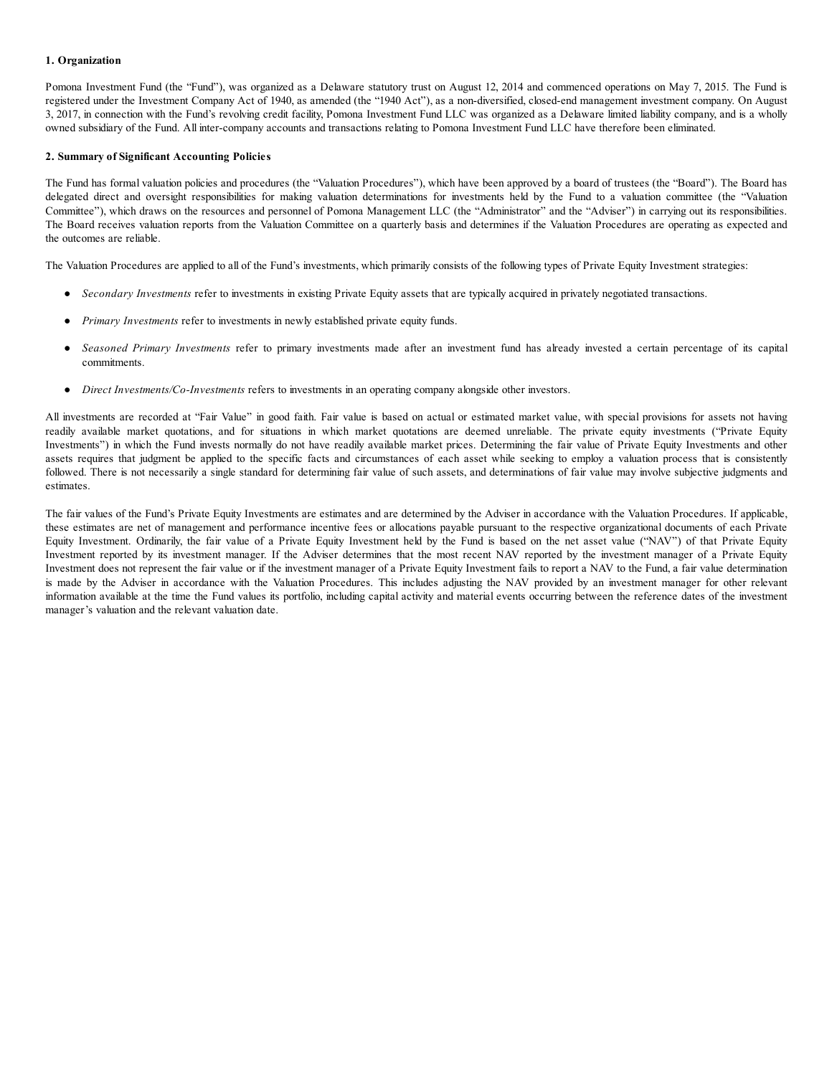## **1. Organization**

Pomona Investment Fund (the "Fund"), was organized as a Delaware statutory trust on August 12, 2014 and commenced operations on May 7, 2015. The Fund is registered under the Investment Company Act of 1940, as amended (the "1940 Act"), as a non-diversified, closed-end management investment company. On August 3, 2017, in connection with the Fund's revolving credit facility, Pomona Investment Fund LLC was organized as a Delaware limited liability company, and is a wholly owned subsidiary of the Fund. All inter-company accounts and transactions relating to Pomona Investment Fund LLC have therefore been eliminated.

#### **2. Summary of Significant Accounting Policies**

The Fund has formal valuation policies and procedures (the "Valuation Procedures"), which have been approved by a board of trustees (the "Board"). The Board has delegated direct and oversight responsibilities for making valuation determinations for investments held by the Fund to a valuation committee (the "Valuation Committee"), which draws on the resources and personnel of Pomona Management LLC (the "Administrator" and the "Adviser") in carrying out its responsibilities. The Board receives valuation reports from the Valuation Committee on a quarterly basis and determines if the Valuation Procedures are operating as expected and the outcomes are reliable.

The Valuation Procedures are applied to all of the Fund's investments, which primarily consists of the following types of Private Equity Investment strategies:

- *Secondary Investments* refer to investments in existing Private Equity assets that are typically acquired in privately negotiated transactions.
- *Primary Investments* refer to investments in newly established private equity funds.
- Seasoned Primary Investments refer to primary investments made after an investment fund has already invested a certain percentage of its capital commitments.
- *Direct Investments/Co-Investments* refers to investments in an operating company alongside other investors.

All investments are recorded at "Fair Value" in good faith. Fair value is based on actual or estimated market value, with special provisions for assets not having readily available market quotations, and for situations in which market quotations are deemed unreliable. The private equity investments ("Private Equity Investments") in which the Fund invests normally do not have readily available market prices. Determining the fair value of Private Equity Investments and other assets requires that judgment be applied to the specific facts and circumstances of each asset while seeking to employ a valuation process that is consistently followed. There is not necessarily a single standard for determining fair value of such assets, and determinations of fair value may involve subjective judgments and estimates.

The fair values of the Fund's Private Equity Investments are estimates and are determined by the Adviser in accordance with the Valuation Procedures. If applicable, these estimates are net of management and performance incentive fees or allocations payable pursuant to the respective organizational documents of each Private Equity Investment. Ordinarily, the fair value of a Private Equity Investment held by the Fund is based on the net asset value ("NAV") of that Private Equity Investment reported by its investment manager. If the Adviser determines that the most recent NAV reported by the investment manager of a Private Equity Investment does not represent the fair value or if the investment manager of a Private Equity Investment fails to report a NAV to the Fund, a fair value determination is made by the Adviser in accordance with the Valuation Procedures. This includes adjusting the NAV provided by an investment manager for other relevant information available at the time the Fund values its portfolio, including capital activity and material events occurring between the reference dates of the investment manager's valuation and the relevant valuation date.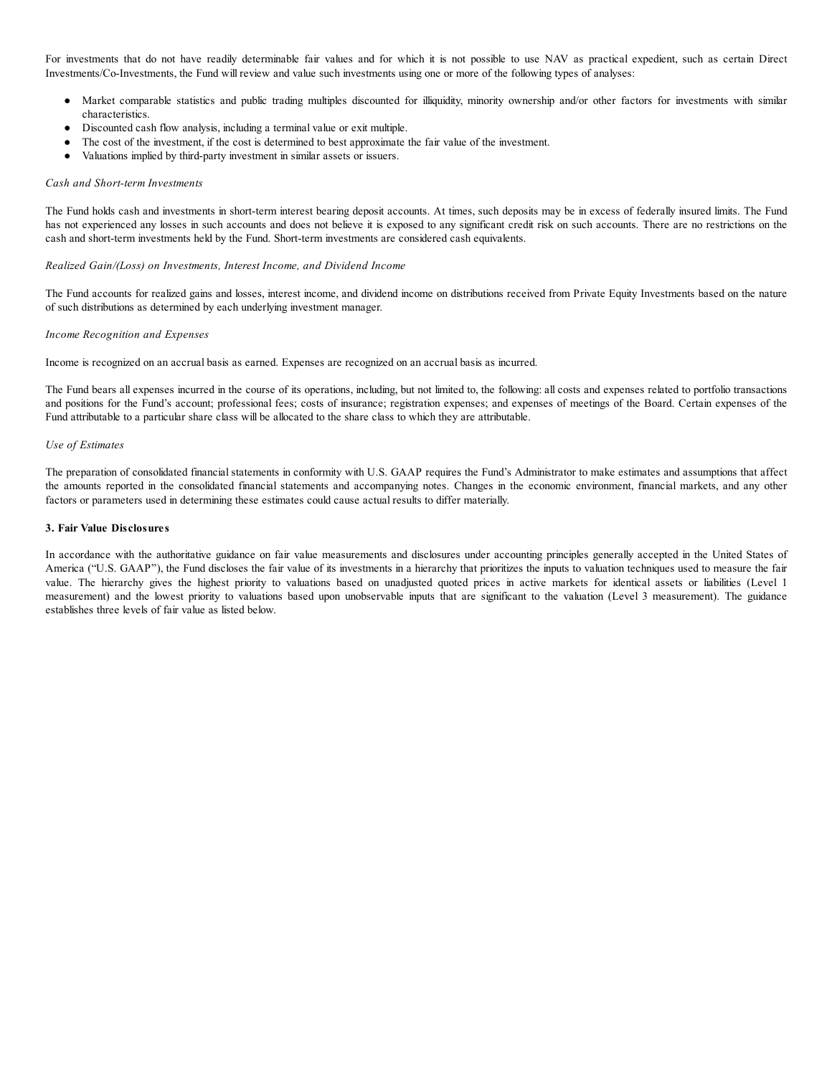For investments that do not have readily determinable fair values and for which it is not possible to use NAV as practical expedient, such as certain Direct Investments/Co-Investments, the Fund will review and value such investments using one or more of the following types of analyses:

- Market comparable statistics and public trading multiples discounted for illiquidity, minority ownership and/or other factors for investments with similar characteristics.
- Discounted cash flow analysis, including a terminal value or exit multiple.
- The cost of the investment, if the cost is determined to best approximate the fair value of the investment.
- Valuations implied by third-party investment in similar assets or issuers.

#### *Cash and Short-term Investments*

The Fund holds cash and investments in short-term interest bearing deposit accounts. At times, such deposits may be in excess of federally insured limits. The Fund has not experienced any losses in such accounts and does not believe it is exposed to any significant credit risk on such accounts. There are no restrictions on the cash and short-term investments held by the Fund. Short-term investments are considered cash equivalents.

## *Realized Gain/(Loss) on Investments, Interest Income, and Dividend Income*

The Fund accounts for realized gains and losses, interest income, and dividend income on distributions received from Private Equity Investments based on the nature of such distributions as determined by each underlying investment manager.

## *Income Recognition and Expenses*

Income is recognized on an accrual basis as earned. Expenses are recognized on an accrual basis as incurred.

The Fund bears all expenses incurred in the course of its operations, including, but not limited to, the following: all costs and expenses related to portfolio transactions and positions for the Fund's account; professional fees; costs of insurance; registration expenses; and expenses of meetings of the Board. Certain expenses of the Fund attributable to a particular share class will be allocated to the share class to which they are attributable.

#### *Use of Estimates*

The preparation of consolidated financial statements in conformity with U.S. GAAP requires the Fund's Administrator to make estimates and assumptions that affect the amounts reported in the consolidated financial statements and accompanying notes. Changes in the economic environment, financial markets, and any other factors or parameters used in determining these estimates could cause actual results to differ materially.

#### **3. Fair Value Disclosures**

In accordance with the authoritative guidance on fair value measurements and disclosures under accounting principles generally accepted in the United States of America ("U.S. GAAP"), the Fund discloses the fair value of its investments in a hierarchy that prioritizes the inputs to valuation techniques used to measure the fair value. The hierarchy gives the highest priority to valuations based on unadjusted quoted prices in active markets for identical assets or liabilities (Level 1 measurement) and the lowest priority to valuations based upon unobservable inputs that are significant to the valuation (Level 3 measurement). The guidance establishes three levels of fair value as listed below.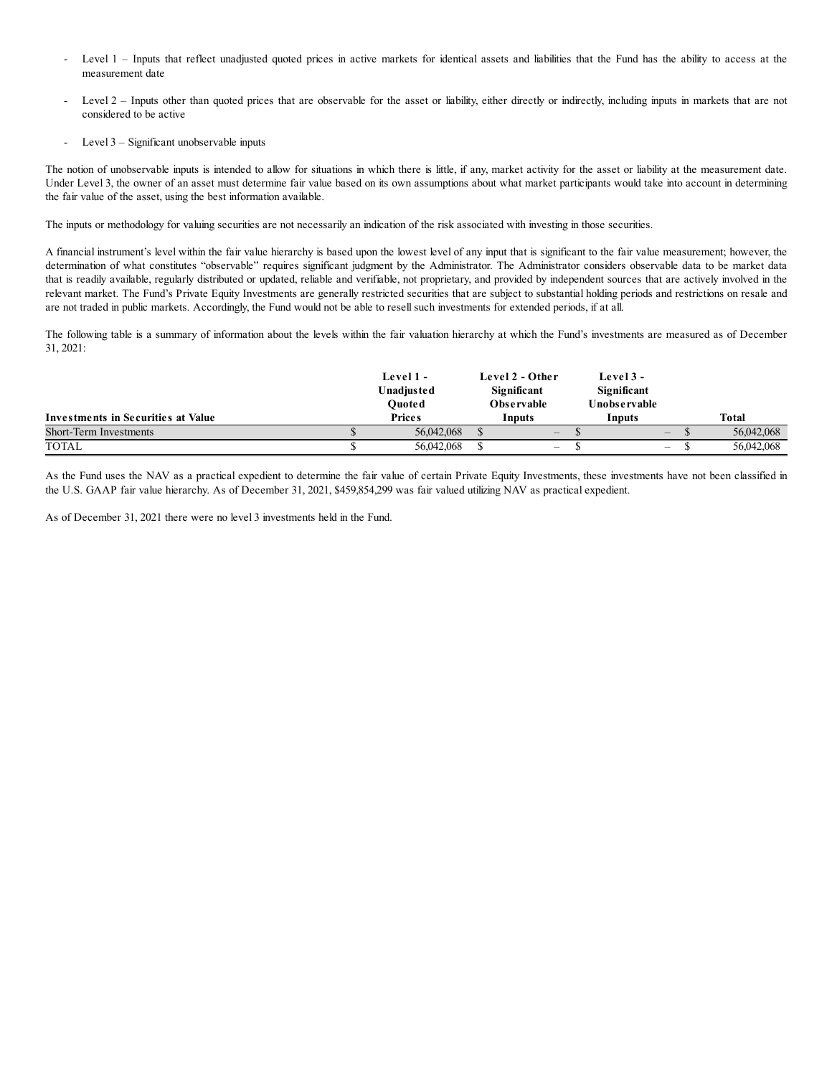- Level 1 Inputs that reflect unadjusted quoted prices in active markets for identical assets and liabilities that the Fund has the ability to access at the measurement date
- Level 2 Inputs other than quoted prices that are observable for the asset or liability, either directly or indirectly, including inputs in markets that are not considered to be active
- Level  $3$  Significant unobservable inputs

The notion of unobservable inputs is intended to allow for situations in which there is little, if any, market activity for the asset or liability at the measurement date. Under Level 3, the owner of an asset must determine fair value based on its own assumptions about what market participants would take into account in determining the fair value of the asset, using the best information available.

The inputs or methodology for valuing securities are not necessarily an indication of the risk associated with investing in those securities.

A financial instrument's level within the fair value hierarchy is based upon the lowest level of any input that is significant to the fair value measurement; however, the determination of what constitutes "observable" requires significant judgment by the Administrator. The Administrator considers observable data to be market data that is readily available, regularly distributed or updated, reliable and verifiable, not proprietary, and provided by independent sources that are actively involved in the relevant market. The Fund's Private Equity Investments are generally restricted securities that are subject to substantial holding periods and restrictions on resale and are not traded in public markets. Accordingly, the Fund would not be able to resell such investments for extended periods, if at all.

The following table is a summary of information about the levels within the fair valuation hierarchy at which the Fund's investments are measured as of December 31, 2021:

|                                    |  | Level 1 -<br><b>Unadjusted</b><br>Ouoted |  | Level 2 - Other<br>Significant<br><b>Observable</b> |  | Level 3 -<br>Significant<br>Unobservable |  |  |              |
|------------------------------------|--|------------------------------------------|--|-----------------------------------------------------|--|------------------------------------------|--|--|--------------|
| Investments in Securities at Value |  | <b>Prices</b>                            |  | Inputs                                              |  | Inputs                                   |  |  | <b>Total</b> |
| Short-Term Investments             |  | 56,042,068                               |  |                                                     |  | $\overline{\phantom{a}}$                 |  |  | 56,042,068   |
| TOTAL                              |  | 56,042,068                               |  | $\overline{\phantom{a}}$                            |  | $\qquad \qquad \blacksquare$             |  |  | 56,042,068   |

As the Fund uses the NAV as a practical expedient to determine the fair value of certain Private Equity Investments, these investments have not been classified in the U.S. GAAP fair value hierarchy. As of December 31, 2021, \$459,854,299 was fair valued utilizing NAV as practical expedient.

As of December 31, 2021 there were no level 3 investments held in the Fund.